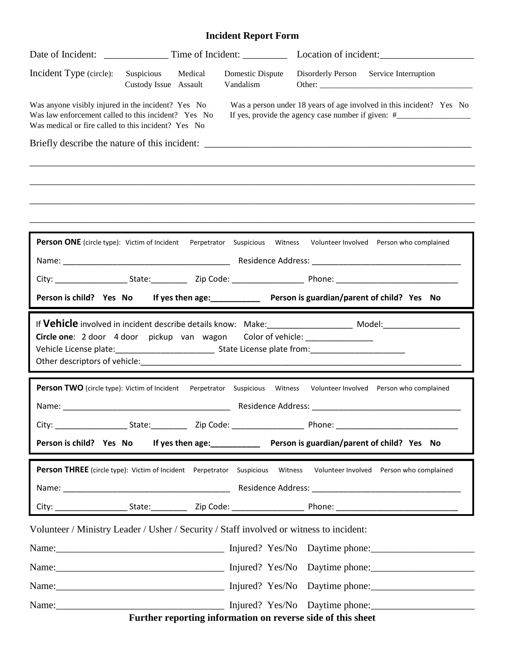## **Incident Report Form**

|                                                                                                                                                                                                                                                                               |                                     |         |                                   |                                                                                         | Location of incident:                                                                                                                                                                                                         |
|-------------------------------------------------------------------------------------------------------------------------------------------------------------------------------------------------------------------------------------------------------------------------------|-------------------------------------|---------|-----------------------------------|-----------------------------------------------------------------------------------------|-------------------------------------------------------------------------------------------------------------------------------------------------------------------------------------------------------------------------------|
| Incident Type (circle):                                                                                                                                                                                                                                                       | Suspicious<br>Custody Issue Assault | Medical | Domestic Dispute<br>Vandalism     |                                                                                         | Disorderly Person Service Interruption                                                                                                                                                                                        |
| Was anyone visibly injured in the incident? Yes No<br>Was law enforcement called to this incident? Yes No<br>Was medical or fire called to this incident? Yes No                                                                                                              |                                     |         |                                   |                                                                                         | Was a person under 18 years of age involved in this incident? Yes No<br>If yes, provide the agency case number if given: #_______________________________                                                                     |
| Briefly describe the nature of this incident: __________________________________                                                                                                                                                                                              |                                     |         |                                   |                                                                                         |                                                                                                                                                                                                                               |
|                                                                                                                                                                                                                                                                               |                                     |         |                                   |                                                                                         |                                                                                                                                                                                                                               |
|                                                                                                                                                                                                                                                                               |                                     |         |                                   |                                                                                         |                                                                                                                                                                                                                               |
| Person ONE (circle type): Victim of Incident Perpetrator Suspicious Witness                                                                                                                                                                                                   |                                     |         |                                   |                                                                                         | Volunteer Involved Person who complained                                                                                                                                                                                      |
|                                                                                                                                                                                                                                                                               |                                     |         |                                   |                                                                                         |                                                                                                                                                                                                                               |
|                                                                                                                                                                                                                                                                               |                                     |         |                                   |                                                                                         |                                                                                                                                                                                                                               |
| Person is child? Yes No If yes then age: Person is guardian/parent of child? Yes No                                                                                                                                                                                           |                                     |         |                                   |                                                                                         |                                                                                                                                                                                                                               |
| Circle one: 2 door 4 door pickup van wagon Color of vehicle: _____________                                                                                                                                                                                                    |                                     |         |                                   |                                                                                         | If Vehicle involved in incident describe details know: Make: ____________________ Model: ____________________                                                                                                                 |
| Person TWO (circle type): Victim of Incident<br>Name: Name: Name: Name: Name: Name: Name: Name: Name: Name: Name: Name: Name: Name: Name: Name: Name: Name: Name: Name: Name: Name: Name: Name: Name: Name: Name: Name: Name: Name: Name: Name: Name: Name: Name: Name: Name: |                                     |         | Perpetrator Suspicious<br>Witness | Residence Address: New York Process and Security Assembly Process and Security Assembly | Volunteer Involved Person who complained                                                                                                                                                                                      |
|                                                                                                                                                                                                                                                                               |                                     |         |                                   |                                                                                         |                                                                                                                                                                                                                               |
| Person is child? Yes No If yes then age:<br>1992 - Person is guardian/parent of child? Yes No                                                                                                                                                                                 |                                     |         |                                   |                                                                                         |                                                                                                                                                                                                                               |
| <b>Person THREE</b> (circle type): Victim of Incident Perpetrator Suspicious Witness                                                                                                                                                                                          |                                     |         |                                   |                                                                                         | Volunteer Involved Person who complained                                                                                                                                                                                      |
|                                                                                                                                                                                                                                                                               |                                     |         |                                   |                                                                                         |                                                                                                                                                                                                                               |
|                                                                                                                                                                                                                                                                               |                                     |         |                                   |                                                                                         |                                                                                                                                                                                                                               |
| Volunteer / Ministry Leader / Usher / Security / Staff involved or witness to incident:                                                                                                                                                                                       |                                     |         |                                   |                                                                                         |                                                                                                                                                                                                                               |
|                                                                                                                                                                                                                                                                               |                                     |         |                                   |                                                                                         |                                                                                                                                                                                                                               |
|                                                                                                                                                                                                                                                                               |                                     |         |                                   |                                                                                         | Name: Name: Name: Name: Name: Name: Name: Name: Name: Name: Name: Name: Name: Name: Name: Name: Name: Name: Name: Name: Name: Name: Name: Name: Name: Name: Name: Name: Name: Name: Name: Name: Name: Name: Name: Name: Name: |
|                                                                                                                                                                                                                                                                               |                                     |         |                                   |                                                                                         | Name: Name: Name: Name: Name: Name: Name: Name: Name: Name: Name: Name: Name: Name: Name: Name: Name: Name: Name: Name: Name: Name: Name: Name: Name: Name: Name: Name: Name: Name: Name: Name: Name: Name: Name: Name: Name: |
|                                                                                                                                                                                                                                                                               |                                     |         |                                   |                                                                                         | Name: Name: Name: Name: Name: Name: Name: Name: Name: Name: Name: Name: Name: Name: Name: Name: Name: Name: Name: Name: Name: Name: Name: Name: Name: Name: Name: Name: Name: Name: Name: Name: Name: Name: Name: Name: Name: |
|                                                                                                                                                                                                                                                                               |                                     |         |                                   | Further reporting information on reverse side of this sheet                             |                                                                                                                                                                                                                               |